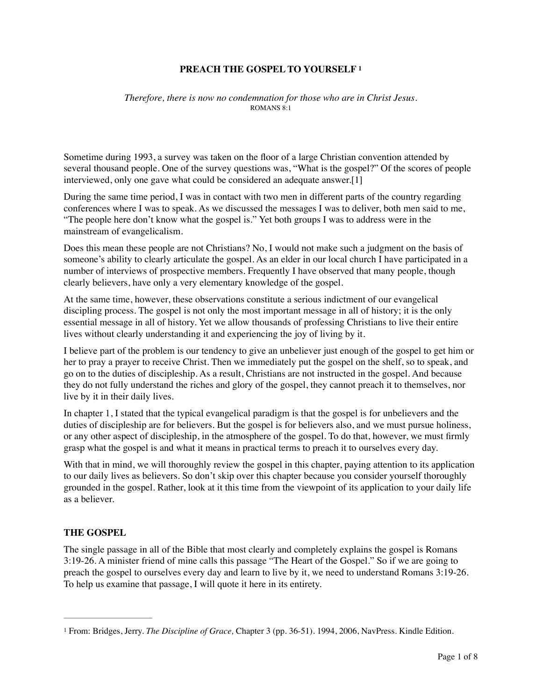#### <span id="page-0-1"></span>**PREACH THE GOSPEL TO YOURSELF [1](#page-0-0)**

#### *Therefore, there is now no condemnation for those who are in Christ Jesus.*  ROMANS 8:1

Sometime during 1993, a survey was taken on the floor of a large Christian convention attended by several thousand people. One of the survey questions was, "What is the gospel?" Of the scores of people interviewed, only one gave what could be considered an adequate answer.[1]

During the same time period, I was in contact with two men in different parts of the country regarding conferences where I was to speak. As we discussed the messages I was to deliver, both men said to me, "The people here don't know what the gospel is." Yet both groups I was to address were in the mainstream of evangelicalism.

Does this mean these people are not Christians? No, I would not make such a judgment on the basis of someone's ability to clearly articulate the gospel. As an elder in our local church I have participated in a number of interviews of prospective members. Frequently I have observed that many people, though clearly believers, have only a very elementary knowledge of the gospel.

At the same time, however, these observations constitute a serious indictment of our evangelical discipling process. The gospel is not only the most important message in all of history; it is the only essential message in all of history. Yet we allow thousands of professing Christians to live their entire lives without clearly understanding it and experiencing the joy of living by it.

I believe part of the problem is our tendency to give an unbeliever just enough of the gospel to get him or her to pray a prayer to receive Christ. Then we immediately put the gospel on the shelf, so to speak, and go on to the duties of discipleship. As a result, Christians are not instructed in the gospel. And because they do not fully understand the riches and glory of the gospel, they cannot preach it to themselves, nor live by it in their daily lives.

In chapter 1, I stated that the typical evangelical paradigm is that the gospel is for unbelievers and the duties of discipleship are for believers. But the gospel is for believers also, and we must pursue holiness, or any other aspect of discipleship, in the atmosphere of the gospel. To do that, however, we must firmly grasp what the gospel is and what it means in practical terms to preach it to ourselves every day.

With that in mind, we will thoroughly review the gospel in this chapter, paying attention to its application to our daily lives as believers. So don't skip over this chapter because you consider yourself thoroughly grounded in the gospel. Rather, look at it this time from the viewpoint of its application to your daily life as a believer.

#### **THE GOSPEL**

The single passage in all of the Bible that most clearly and completely explains the gospel is Romans 3:19-26. A minister friend of mine calls this passage "The Heart of the Gospel." So if we are going to preach the gospel to ourselves every day and learn to live by it, we need to understand Romans 3:19-26. To help us examine that passage, I will quote it here in its entirety.

<span id="page-0-0"></span>From: Bridges, Jerry. *The Discipline of Grace,* Chapter 3 (pp. 36-51)*.* 1994, 2006, NavPress. Kindle Edition. [1](#page-0-1)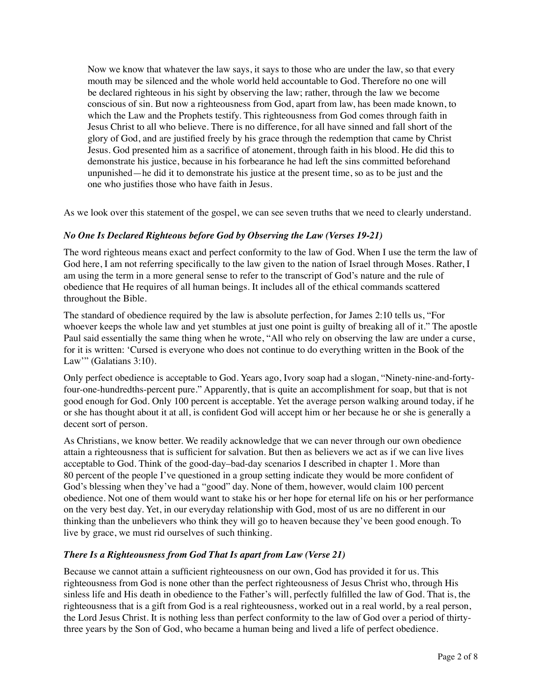Now we know that whatever the law says, it says to those who are under the law, so that every mouth may be silenced and the whole world held accountable to God. Therefore no one will be declared righteous in his sight by observing the law; rather, through the law we become conscious of sin. But now a righteousness from God, apart from law, has been made known, to which the Law and the Prophets testify. This righteousness from God comes through faith in Jesus Christ to all who believe. There is no difference, for all have sinned and fall short of the glory of God, and are justified freely by his grace through the redemption that came by Christ Jesus. God presented him as a sacrifice of atonement, through faith in his blood. He did this to demonstrate his justice, because in his forbearance he had left the sins committed beforehand unpunished—he did it to demonstrate his justice at the present time, so as to be just and the one who justifies those who have faith in Jesus.

As we look over this statement of the gospel, we can see seven truths that we need to clearly understand.

# *No One Is Declared Righteous before God by Observing the Law (Verses 19-21)*

The word righteous means exact and perfect conformity to the law of God. When I use the term the law of God here, I am not referring specifically to the law given to the nation of Israel through Moses. Rather, I am using the term in a more general sense to refer to the transcript of God's nature and the rule of obedience that He requires of all human beings. It includes all of the ethical commands scattered throughout the Bible.

The standard of obedience required by the law is absolute perfection, for James 2:10 tells us, "For whoever keeps the whole law and yet stumbles at just one point is guilty of breaking all of it." The apostle Paul said essentially the same thing when he wrote, "All who rely on observing the law are under a curse, for it is written: 'Cursed is everyone who does not continue to do everything written in the Book of the Law'" (Galatians 3:10).

Only perfect obedience is acceptable to God. Years ago, Ivory soap had a slogan, "Ninety-nine-and-fortyfour-one-hundredths-percent pure." Apparently, that is quite an accomplishment for soap, but that is not good enough for God. Only 100 percent is acceptable. Yet the average person walking around today, if he or she has thought about it at all, is confident God will accept him or her because he or she is generally a decent sort of person.

As Christians, we know better. We readily acknowledge that we can never through our own obedience attain a righteousness that is sufficient for salvation. But then as believers we act as if we can live lives acceptable to God. Think of the good-day–bad-day scenarios I described in chapter 1. More than 80 percent of the people I've questioned in a group setting indicate they would be more confident of God's blessing when they've had a "good" day. None of them, however, would claim 100 percent obedience. Not one of them would want to stake his or her hope for eternal life on his or her performance on the very best day. Yet, in our everyday relationship with God, most of us are no different in our thinking than the unbelievers who think they will go to heaven because they've been good enough. To live by grace, we must rid ourselves of such thinking.

# *There Is a Righteousness from God That Is apart from Law (Verse 21)*

Because we cannot attain a sufficient righteousness on our own, God has provided it for us. This righteousness from God is none other than the perfect righteousness of Jesus Christ who, through His sinless life and His death in obedience to the Father's will, perfectly fulfilled the law of God. That is, the righteousness that is a gift from God is a real righteousness, worked out in a real world, by a real person, the Lord Jesus Christ. It is nothing less than perfect conformity to the law of God over a period of thirtythree years by the Son of God, who became a human being and lived a life of perfect obedience.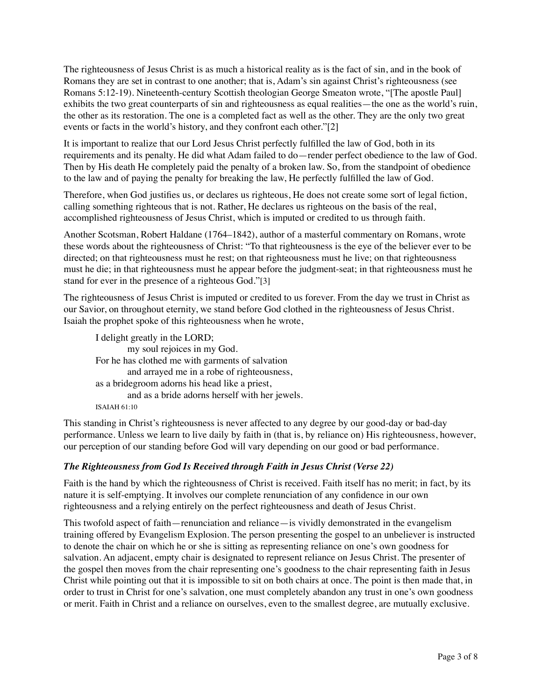The righteousness of Jesus Christ is as much a historical reality as is the fact of sin, and in the book of Romans they are set in contrast to one another; that is, Adam's sin against Christ's righteousness (see Romans 5:12-19). Nineteenth-century Scottish theologian George Smeaton wrote, "[The apostle Paul] exhibits the two great counterparts of sin and righteousness as equal realities—the one as the world's ruin, the other as its restoration. The one is a completed fact as well as the other. They are the only two great events or facts in the world's history, and they confront each other."[2]

It is important to realize that our Lord Jesus Christ perfectly fulfilled the law of God, both in its requirements and its penalty. He did what Adam failed to do—render perfect obedience to the law of God. Then by His death He completely paid the penalty of a broken law. So, from the standpoint of obedience to the law and of paying the penalty for breaking the law, He perfectly fulfilled the law of God.

Therefore, when God justifies us, or declares us righteous, He does not create some sort of legal fiction, calling something righteous that is not. Rather, He declares us righteous on the basis of the real, accomplished righteousness of Jesus Christ, which is imputed or credited to us through faith.

Another Scotsman, Robert Haldane (1764–1842), author of a masterful commentary on Romans, wrote these words about the righteousness of Christ: "To that righteousness is the eye of the believer ever to be directed; on that righteousness must he rest; on that righteousness must he live; on that righteousness must he die; in that righteousness must he appear before the judgment-seat; in that righteousness must he stand for ever in the presence of a righteous God."[3]

The righteousness of Jesus Christ is imputed or credited to us forever. From the day we trust in Christ as our Savior, on throughout eternity, we stand before God clothed in the righteousness of Jesus Christ. Isaiah the prophet spoke of this righteousness when he wrote,

I delight greatly in the LORD; my soul rejoices in my God. For he has clothed me with garments of salvation and arrayed me in a robe of righteousness, as a bridegroom adorns his head like a priest, and as a bride adorns herself with her jewels. ISAIAH 61:10

This standing in Christ's righteousness is never affected to any degree by our good-day or bad-day performance. Unless we learn to live daily by faith in (that is, by reliance on) His righteousness, however, our perception of our standing before God will vary depending on our good or bad performance.

# *The Righteousness from God Is Received through Faith in Jesus Christ (Verse 22)*

Faith is the hand by which the righteousness of Christ is received. Faith itself has no merit; in fact, by its nature it is self-emptying. It involves our complete renunciation of any confidence in our own righteousness and a relying entirely on the perfect righteousness and death of Jesus Christ.

This twofold aspect of faith—renunciation and reliance—is vividly demonstrated in the evangelism training offered by Evangelism Explosion. The person presenting the gospel to an unbeliever is instructed to denote the chair on which he or she is sitting as representing reliance on one's own goodness for salvation. An adjacent, empty chair is designated to represent reliance on Jesus Christ. The presenter of the gospel then moves from the chair representing one's goodness to the chair representing faith in Jesus Christ while pointing out that it is impossible to sit on both chairs at once. The point is then made that, in order to trust in Christ for one's salvation, one must completely abandon any trust in one's own goodness or merit. Faith in Christ and a reliance on ourselves, even to the smallest degree, are mutually exclusive.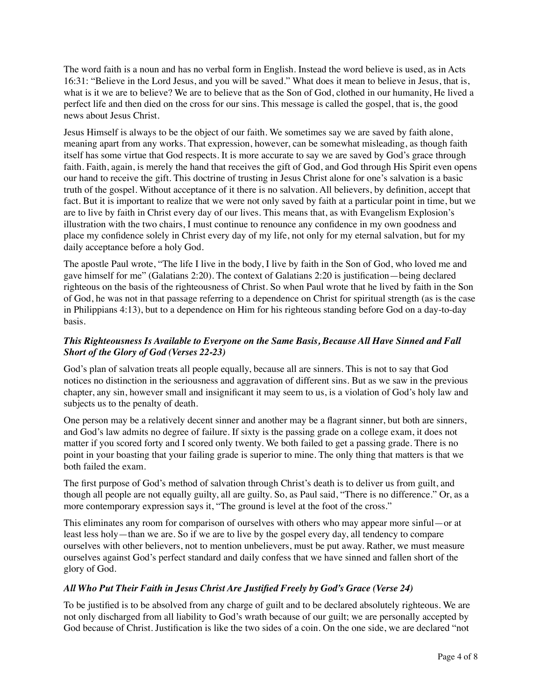The word faith is a noun and has no verbal form in English. Instead the word believe is used, as in Acts 16:31: "Believe in the Lord Jesus, and you will be saved." What does it mean to believe in Jesus, that is, what is it we are to believe? We are to believe that as the Son of God, clothed in our humanity, He lived a perfect life and then died on the cross for our sins. This message is called the gospel, that is, the good news about Jesus Christ.

Jesus Himself is always to be the object of our faith. We sometimes say we are saved by faith alone, meaning apart from any works. That expression, however, can be somewhat misleading, as though faith itself has some virtue that God respects. It is more accurate to say we are saved by God's grace through faith. Faith, again, is merely the hand that receives the gift of God, and God through His Spirit even opens our hand to receive the gift. This doctrine of trusting in Jesus Christ alone for one's salvation is a basic truth of the gospel. Without acceptance of it there is no salvation. All believers, by definition, accept that fact. But it is important to realize that we were not only saved by faith at a particular point in time, but we are to live by faith in Christ every day of our lives. This means that, as with Evangelism Explosion's illustration with the two chairs, I must continue to renounce any confidence in my own goodness and place my confidence solely in Christ every day of my life, not only for my eternal salvation, but for my daily acceptance before a holy God.

The apostle Paul wrote, "The life I live in the body, I live by faith in the Son of God, who loved me and gave himself for me" (Galatians 2:20). The context of Galatians 2:20 is justification—being declared righteous on the basis of the righteousness of Christ. So when Paul wrote that he lived by faith in the Son of God, he was not in that passage referring to a dependence on Christ for spiritual strength (as is the case in Philippians 4:13), but to a dependence on Him for his righteous standing before God on a day-to-day basis.

# *This Righteousness Is Available to Everyone on the Same Basis, Because All Have Sinned and Fall Short of the Glory of God (Verses 22-23)*

God's plan of salvation treats all people equally, because all are sinners. This is not to say that God notices no distinction in the seriousness and aggravation of different sins. But as we saw in the previous chapter, any sin, however small and insignificant it may seem to us, is a violation of God's holy law and subjects us to the penalty of death.

One person may be a relatively decent sinner and another may be a flagrant sinner, but both are sinners, and God's law admits no degree of failure. If sixty is the passing grade on a college exam, it does not matter if you scored forty and I scored only twenty. We both failed to get a passing grade. There is no point in your boasting that your failing grade is superior to mine. The only thing that matters is that we both failed the exam.

The first purpose of God's method of salvation through Christ's death is to deliver us from guilt, and though all people are not equally guilty, all are guilty. So, as Paul said, "There is no difference." Or, as a more contemporary expression says it, "The ground is level at the foot of the cross."

This eliminates any room for comparison of ourselves with others who may appear more sinful—or at least less holy—than we are. So if we are to live by the gospel every day, all tendency to compare ourselves with other believers, not to mention unbelievers, must be put away. Rather, we must measure ourselves against God's perfect standard and daily confess that we have sinned and fallen short of the glory of God.

# *All Who Put Their Faith in Jesus Christ Are Justified Freely by God's Grace (Verse 24)*

To be justified is to be absolved from any charge of guilt and to be declared absolutely righteous. We are not only discharged from all liability to God's wrath because of our guilt; we are personally accepted by God because of Christ. Justification is like the two sides of a coin. On the one side, we are declared "not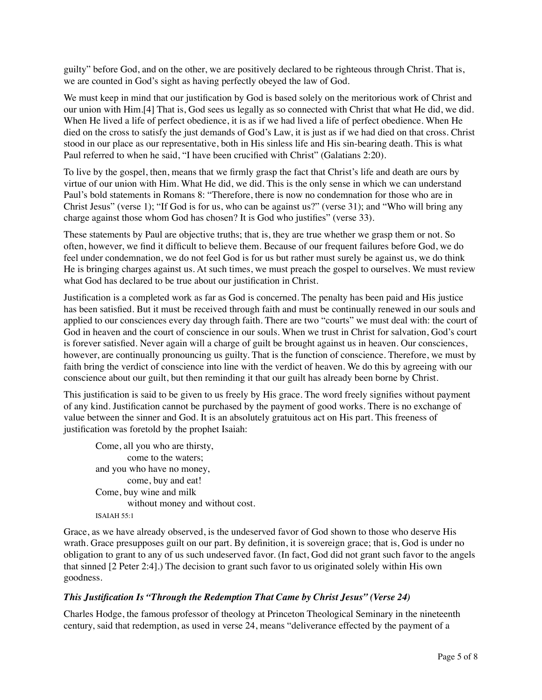guilty" before God, and on the other, we are positively declared to be righteous through Christ. That is, we are counted in God's sight as having perfectly obeyed the law of God.

We must keep in mind that our justification by God is based solely on the meritorious work of Christ and our union with Him.[4] That is, God sees us legally as so connected with Christ that what He did, we did. When He lived a life of perfect obedience, it is as if we had lived a life of perfect obedience. When He died on the cross to satisfy the just demands of God's Law, it is just as if we had died on that cross. Christ stood in our place as our representative, both in His sinless life and His sin-bearing death. This is what Paul referred to when he said, "I have been crucified with Christ" (Galatians 2:20).

To live by the gospel, then, means that we firmly grasp the fact that Christ's life and death are ours by virtue of our union with Him. What He did, we did. This is the only sense in which we can understand Paul's bold statements in Romans 8: "Therefore, there is now no condemnation for those who are in Christ Jesus" (verse 1); "If God is for us, who can be against us?" (verse 31); and "Who will bring any charge against those whom God has chosen? It is God who justifies" (verse 33).

These statements by Paul are objective truths; that is, they are true whether we grasp them or not. So often, however, we find it difficult to believe them. Because of our frequent failures before God, we do feel under condemnation, we do not feel God is for us but rather must surely be against us, we do think He is bringing charges against us. At such times, we must preach the gospel to ourselves. We must review what God has declared to be true about our justification in Christ.

Justification is a completed work as far as God is concerned. The penalty has been paid and His justice has been satisfied. But it must be received through faith and must be continually renewed in our souls and applied to our consciences every day through faith. There are two "courts" we must deal with: the court of God in heaven and the court of conscience in our souls. When we trust in Christ for salvation, God's court is forever satisfied. Never again will a charge of guilt be brought against us in heaven. Our consciences, however, are continually pronouncing us guilty. That is the function of conscience. Therefore, we must by faith bring the verdict of conscience into line with the verdict of heaven. We do this by agreeing with our conscience about our guilt, but then reminding it that our guilt has already been borne by Christ.

This justification is said to be given to us freely by His grace. The word freely signifies without payment of any kind. Justification cannot be purchased by the payment of good works. There is no exchange of value between the sinner and God. It is an absolutely gratuitous act on His part. This freeness of justification was foretold by the prophet Isaiah:

Come, all you who are thirsty, come to the waters; and you who have no money, come, buy and eat! Come, buy wine and milk without money and without cost. ISAIAH 55:1

Grace, as we have already observed, is the undeserved favor of God shown to those who deserve His wrath. Grace presupposes guilt on our part. By definition, it is sovereign grace; that is, God is under no obligation to grant to any of us such undeserved favor. (In fact, God did not grant such favor to the angels that sinned [2 Peter 2:4].) The decision to grant such favor to us originated solely within His own goodness.

# *This Justification Is "Through the Redemption That Came by Christ Jesus" (Verse 24)*

Charles Hodge, the famous professor of theology at Princeton Theological Seminary in the nineteenth century, said that redemption, as used in verse 24, means "deliverance effected by the payment of a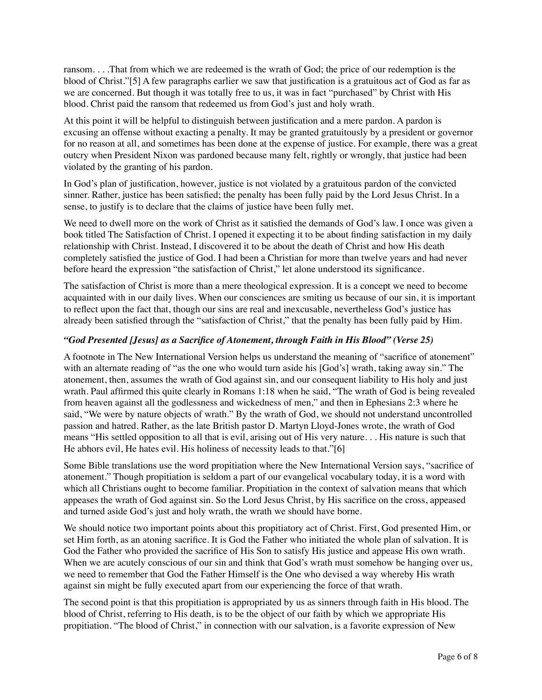ransom. . . .That from which we are redeemed is the wrath of God; the price of our redemption is the blood of Christ."[5] A few paragraphs earlier we saw that justification is a gratuitous act of God as far as we are concerned. But though it was totally free to us, it was in fact "purchased" by Christ with His blood. Christ paid the ransom that redeemed us from God's just and holy wrath.

At this point it will be helpful to distinguish between justification and a mere pardon. A pardon is excusing an offense without exacting a penalty. It may be granted gratuitously by a president or governor for no reason at all, and sometimes has been done at the expense of justice. For example, there was a great outcry when President Nixon was pardoned because many felt, rightly or wrongly, that justice had been violated by the granting of his pardon.

In God's plan of justification, however, justice is not violated by a gratuitous pardon of the convicted sinner. Rather, justice has been satisfied; the penalty has been fully paid by the Lord Jesus Christ. In a sense, to justify is to declare that the claims of justice have been fully met.

We need to dwell more on the work of Christ as it satisfied the demands of God's law. I once was given a book titled The Satisfaction of Christ. I opened it expecting it to be about finding satisfaction in my daily relationship with Christ. Instead, I discovered it to be about the death of Christ and how His death completely satisfied the justice of God. I had been a Christian for more than twelve years and had never before heard the expression "the satisfaction of Christ," let alone understood its significance.

The satisfaction of Christ is more than a mere theological expression. It is a concept we need to become acquainted with in our daily lives. When our consciences are smiting us because of our sin, it is important to reflect upon the fact that, though our sins are real and inexcusable, nevertheless God's justice has already been satisfied through the "satisfaction of Christ," that the penalty has been fully paid by Him.

# *"God Presented [Jesus] as a Sacrifice of Atonement, through Faith in His Blood" (Verse 25)*

A footnote in The New International Version helps us understand the meaning of "sacrifice of atonement" with an alternate reading of "as the one who would turn aside his [God's] wrath, taking away sin." The atonement, then, assumes the wrath of God against sin, and our consequent liability to His holy and just wrath. Paul affirmed this quite clearly in Romans 1:18 when he said, "The wrath of God is being revealed from heaven against all the godlessness and wickedness of men," and then in Ephesians 2:3 where he said, "We were by nature objects of wrath." By the wrath of God, we should not understand uncontrolled passion and hatred. Rather, as the late British pastor D. Martyn Lloyd-Jones wrote, the wrath of God means "His settled opposition to all that is evil, arising out of His very nature. . . His nature is such that He abhors evil, He hates evil. His holiness of necessity leads to that."[6]

Some Bible translations use the word propitiation where the New International Version says, "sacrifice of atonement." Though propitiation is seldom a part of our evangelical vocabulary today, it is a word with which all Christians ought to become familiar. Propitiation in the context of salvation means that which appeases the wrath of God against sin. So the Lord Jesus Christ, by His sacrifice on the cross, appeased and turned aside God's just and holy wrath, the wrath we should have borne.

We should notice two important points about this propitiatory act of Christ. First, God presented Him, or set Him forth, as an atoning sacrifice. It is God the Father who initiated the whole plan of salvation. It is God the Father who provided the sacrifice of His Son to satisfy His justice and appease His own wrath. When we are acutely conscious of our sin and think that God's wrath must somehow be hanging over us, we need to remember that God the Father Himself is the One who devised a way whereby His wrath against sin might be fully executed apart from our experiencing the force of that wrath.

The second point is that this propitiation is appropriated by us as sinners through faith in His blood. The blood of Christ, referring to His death, is to be the object of our faith by which we appropriate His propitiation. "The blood of Christ," in connection with our salvation, is a favorite expression of New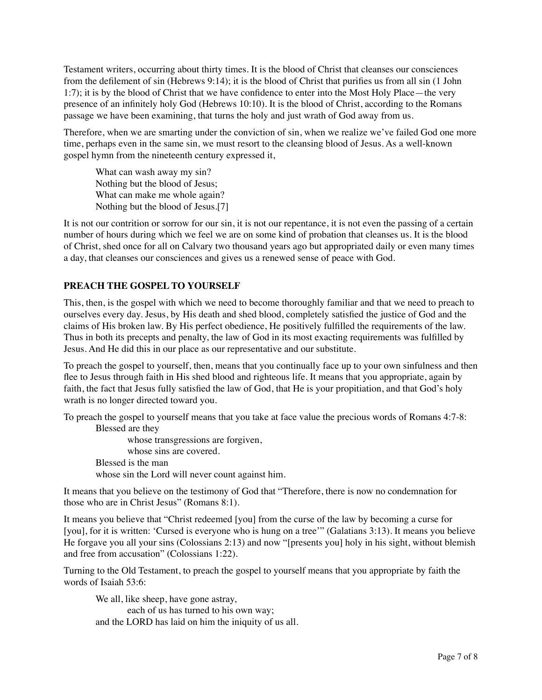Testament writers, occurring about thirty times. It is the blood of Christ that cleanses our consciences from the defilement of sin (Hebrews 9:14); it is the blood of Christ that purifies us from all sin (1 John 1:7); it is by the blood of Christ that we have confidence to enter into the Most Holy Place—the very presence of an infinitely holy God (Hebrews 10:10). It is the blood of Christ, according to the Romans passage we have been examining, that turns the holy and just wrath of God away from us.

Therefore, when we are smarting under the conviction of sin, when we realize we've failed God one more time, perhaps even in the same sin, we must resort to the cleansing blood of Jesus. As a well-known gospel hymn from the nineteenth century expressed it,

What can wash away my sin? Nothing but the blood of Jesus; What can make me whole again? Nothing but the blood of Jesus.[7]

It is not our contrition or sorrow for our sin, it is not our repentance, it is not even the passing of a certain number of hours during which we feel we are on some kind of probation that cleanses us. It is the blood of Christ, shed once for all on Calvary two thousand years ago but appropriated daily or even many times a day, that cleanses our consciences and gives us a renewed sense of peace with God.

# **PREACH THE GOSPEL TO YOURSELF**

This, then, is the gospel with which we need to become thoroughly familiar and that we need to preach to ourselves every day. Jesus, by His death and shed blood, completely satisfied the justice of God and the claims of His broken law. By His perfect obedience, He positively fulfilled the requirements of the law. Thus in both its precepts and penalty, the law of God in its most exacting requirements was fulfilled by Jesus. And He did this in our place as our representative and our substitute.

To preach the gospel to yourself, then, means that you continually face up to your own sinfulness and then flee to Jesus through faith in His shed blood and righteous life. It means that you appropriate, again by faith, the fact that Jesus fully satisfied the law of God, that He is your propitiation, and that God's holy wrath is no longer directed toward you.

To preach the gospel to yourself means that you take at face value the precious words of Romans 4:7-8: Blessed are they

whose transgressions are forgiven, whose sins are covered. Blessed is the man whose sin the Lord will never count against him.

It means that you believe on the testimony of God that "Therefore, there is now no condemnation for those who are in Christ Jesus" (Romans 8:1).

It means you believe that "Christ redeemed [you] from the curse of the law by becoming a curse for [you], for it is written: 'Cursed is everyone who is hung on a tree'" (Galatians 3:13). It means you believe He forgave you all your sins (Colossians 2:13) and now "[presents you] holy in his sight, without blemish and free from accusation" (Colossians 1:22).

Turning to the Old Testament, to preach the gospel to yourself means that you appropriate by faith the words of Isaiah 53:6:

We all, like sheep, have gone astray, each of us has turned to his own way; and the LORD has laid on him the iniquity of us all.